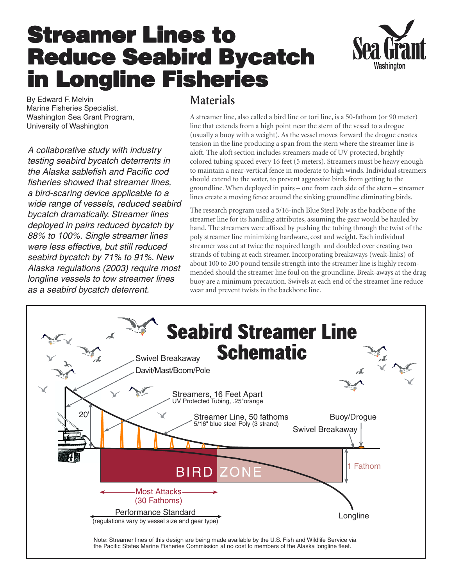## **Streamer Lines to Streamer Lines to Reduce Seabird Bycatch Reduce Seabird Bycatch in Longline Fisheries in Longline Fisheries**



By Edward F. Melvin Marine Fisheries Specialist, Washington Sea Grant Program, University of Washington

A collaborative study with industry testing seabird bycatch deterrents in the Alaska sablefish and Pacific cod fisheries showed that streamer lines, a bird-scaring device applicable to a wide range of vessels, reduced seabird bycatch dramatically. Streamer lines deployed in pairs reduced bycatch by 88% to 100%. Single streamer lines were less effective, but still reduced seabird bycatch by 71% to 91%. New Alaska regulations (2003) require most longline vessels to tow streamer lines as a seabird bycatch deterrent.

## **Materials**

A streamer line, also called a bird line or tori line, is a 50-fathom (or 90 meter) line that extends from a high point near the stern of the vessel to a drogue (usually a buoy with a weight). As the vessel moves forward the drogue creates tension in the line producing a span from the stern where the streamer line is aloft. The aloft section includes streamers made of UV protected, brightly colored tubing spaced every 16 feet (5 meters). Streamers must be heavy enough to maintain a near-vertical fence in moderate to high winds. Individual streamers should extend to the water, to prevent aggressive birds from getting to the groundline. When deployed in pairs – one from each side of the stern – streamer lines create a moving fence around the sinking groundline eliminating birds.

The research program used a 5/16-inch Blue Steel Poly as the backbone of the streamer line for its handling attributes, assuming the gear would be hauled by hand. The streamers were affixed by pushing the tubing through the twist of the poly streamer line minimizing hardware, cost and weight. Each individual streamer was cut at twice the required length and doubled over creating two strands of tubing at each streamer. Incorporating breakaways (weak-links) of about 100 to 200 pound tensile strength into the streamer line is highly recommended should the streamer line foul on the groundline. Break-aways at the drag buoy are a minimum precaution. Swivels at each end of the streamer line reduce wear and prevent twists in the backbone line.